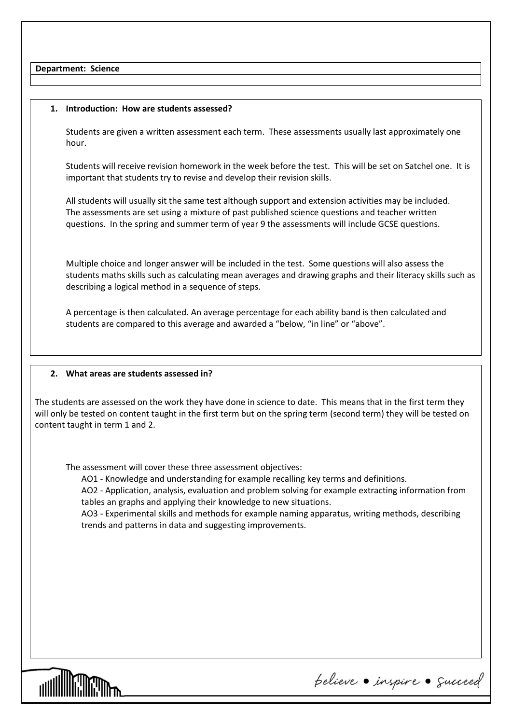**Department: Science**

## **1. Introduction: How are students assessed?**

Students are given a written assessment each term. These assessments usually last approximately one hour.

Students will receive revision homework in the week before the test. This will be set on Satchel one. It is important that students try to revise and develop their revision skills.

All students will usually sit the same test although support and extension activities may be included. The assessments are set using a mixture of past published science questions and teacher written questions. In the spring and summer term of year 9 the assessments will include GCSE questions.

Multiple choice and longer answer will be included in the test. Some questions will also assess the students maths skills such as calculating mean averages and drawing graphs and their literacy skills such as describing a logical method in a sequence of steps.

A percentage is then calculated. An average percentage for each ability band is then calculated and students are compared to this average and awarded a "below, "in line" or "above".

## **2. What areas are students assessed in?**

The students are assessed on the work they have done in science to date. This means that in the first term they will only be tested on content taught in the first term but on the spring term (second term) they will be tested on content taught in term 1 and 2.

The assessment will cover these three assessment objectives:

AO1 - Knowledge and understanding for example recalling key terms and definitions.

AO2 - Application, analysis, evaluation and problem solving for example extracting information from tables an graphs and applying their knowledge to new situations.

AO3 - Experimental skills and methods for example naming apparatus, writing methods, describing trends and patterns in data and suggesting improvements.



pelieve · inspire · Succeed